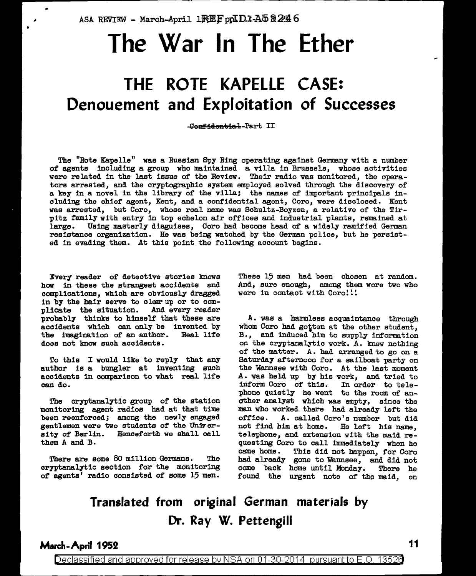ASA REVIEW - March-April 1 $RE$ F pp $ID$ 1-A $5$   $224$  6

# **The War In The Ether**

## **THE ROTE KAPELLE CASE: Denouement and Exploitation of Successes**

Cenfidential-Part II

The "Rote Kapelle" was a Russian Spy Ring operating against Germany with a number of agents including a group who maintained a villa in Brussels, whose activities were related in the last issue of the Review. Their radio was monitored, the operators arrested, and the cryptographic system employed solved through the discovery of a key in a novel in the library of the villa; the names of important principals including the chief agent, Kent, and a confidential agent, Coro, were disclosed. Kent was arrested, but Coro, whose real name was Schultz-Boyzen, a relative of the Tirpitz family with entry in top echelon air offices and industrial plants, remained at large. Using masterly disguises, Coro had become head of a widely ramified German resistance organization. He was being watched by the German police, but he persisted in evading them. At this point the following account begins.

Every reader of detective stories knows how in these the strangest accidents and complications, which are obviously dragged in by the hair serve to clear up or to com-<br>plicate the situation. And every reader plicate the situation. probably thinks to himself that these are accidents which can only be invented by<br>the imagination of an author. Real life the imagination of an author. does not know such accidents.

To this I would like to reply that any author is a bungler at inventing such accidents in comparison to what real life can do.

The cryptanalytic group of the station monitoring agent radios had at that time been reenforced; among the newly engaged gentlemen were two students of the UniVersity of Berlin. Henceforth we shall call them A and B.

There are some 80 million Germans. The cryptanalytic section for the monitoring of agents' radio consisted of some 15 men.

These 15 men had been chosen at random. And, sure enough, among them were two who were in contact with Coro!!!

A. was a harmless acquaintance through whom Coro had gotten at the other student, B., and induced him to supply information on the cryptanalytic work. A. knew nothing of the matter. A. had arranged to go on a Saturday afternoon for a sailboat party on the Wannsee with Coro. At the last moment A. was held up by hie work, and tried to inform Coro of this. In order to tele phone quietly he went to the room of another analyst which wae empty, since the man who worked there had already left the<br>office. A, called Coro's number but did A. called Coro's number but did not find him at home. He left hie name, telephone, and extension with the maid requesting Coro to call immediately when he came home. This did not happen, for Coro had already gone to Wannsee, and did not come back home until Monday. There he come back home until Monday. found the urgent note of the maid, on

## **Translated from original German materials by Dr. Ray W. Pettengill**

### **March-April 1952** 11

•

Declassified and approved for release by NSA on 01-30-2014 pursuant to E.O. 13526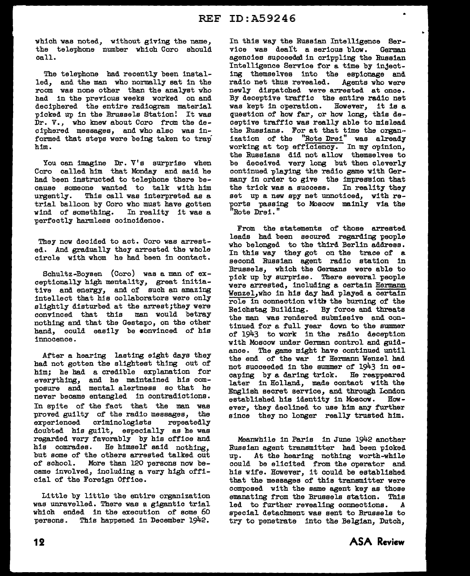which was noted, without giving the name, the telephone number which Coro should call.

The telephone had recently been installed, and the man who normally sat in the room was none other than the analyst who had in the previous weeks worked on and deciphered the entire radiogram material picked up in the Brussels Station! It was Dr. V., who knew about Coro from the deciphered messages, and who also was informed that steps were being taken to trap him.

You can imagine Dr. V's surprise when Coro called him that Monday and said he had been instructed to telephone there because someone wanted to talk with him<br>urgently. This call was interpreted as a This call was interpreted as a trial balloon by Coro who must have gotten<br>wind of something. In reality it was a wind of something. perfectly harmless coincidence.

They now decided to act. Coro was arrested. And gradually they arrested the whole circle with whom he had been in contact.

Schultz-Boysen (Coro) was a man of exceptionally high mentality, great initiative and energy, and of such an amazing intellect that his collaborators were only slightly disturbed at the arrest;they were convinced that this man would betray nothing and that the Gestapo, on the other hand, could easily be •onvinced of his innocence.

After a hearing lasting eight days they had not gotten the slightest thing out of him; he bad a credible explanation for everything, and he maintained his composure and mental alertness so that he never became entangled in contradictions. In spite of the fact that the man was proved guilty of the radio messages, the experienced criminologists repeatedly doubted his guilt, especially as he was regarded very favorably by his office and his comrades. He himself said nothing, but some of the others arrested talked out of school. More than 120 persons now became involved, including a very high official of the Foreign Office.

Little by little the entire organization was unravelled. There was a gigantic trial which ended in the execution of some 60 persons. This happened in December 1942.

In this way the Russian Intelligence Service was dealt a serious blow. German agencies supceedal in crippling the Russian Intelligence Service for a time by injecting themselves into the espionage and radio net thus revealed. Agents who were newly dispatched were arrested at once. By deceptive traffic the entire radio net was kept in operation. However, it is a question of how far, or how long, this deceptive traffic was really able to mislead the Russians. For at that time the organ· ization of the "Rote Drei" was already working at top efficiency. In my opinion, the Russians did not allow themselves to be deceived very long but then cleverly continued playing the radio game with Germany in order to give the impression that the trick was a success. In reality they set up a new spy net unnoticed, with reports passing to Moscow mainly via the "Rote Drei. "

From the statements of those arrested leads had been secured regarding people who belonged to the third Berlin address. In this way they got on the trace of a second Russian agent radio station in Brussels, which the Germans were able to pick up by surprise. There several people were arrested, including a certain Hermann Wenzel,who in his day had played a certain role in connection with the burning of the Reichstag Building. By force and threats the man was rendered submissive and continued for a full year down to the summer of 1943 to work in the radio deception with Moscow under German control and guidance. The game might have continued until the end of the war if Hermann Wenzel had not succeeded in the summer of 1943 in escaping by a daring trick. He reappeared later in Holland, made contact with the English secret service, and through London established his identity in Moscow. However, they declined to use him any further since they no longer really trusted him.

Meanwhile in Paris in June 1942 another Russian agent transmitter bad been picked up. At the hearing nothing worth-while could be elicited from the operator and his wife. However, it could be established that the messages of this transmitter were composed with the same agent key as those emanating from the Brussels station. This<br>led to further revealing connections. A led to further revealing connections. special detachment was sent to Brussels to try to penetrate into the Belgian, Dutch,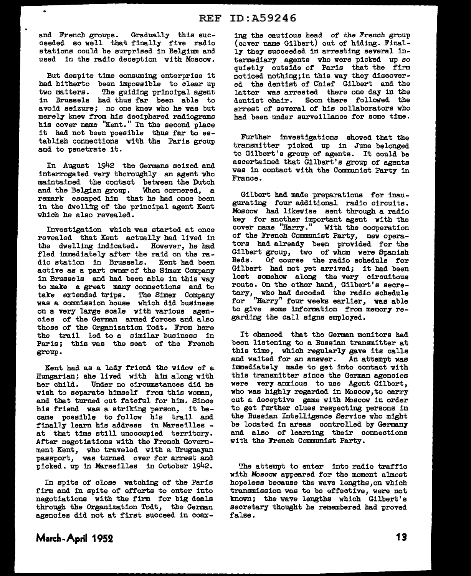and French groups. Gradually this succeeded so well that finally five radio stations could be surprised in Belgium and used in the radio deception with Moscow.

 $\bullet$ 

But despite time consuming enterprise it had hitherto been impossible to clear up two matters. The guiding principal agent The guiding principal agent in Brussels had thus far been able to avoid seizure; no one knew who he was but merely knew from hie deciphered radiograms his cover name "Kent. " In the second place it had not been possible thus far to establish connections with the Paris group and to penetrate it.

In August 1942 the Germans seized and interrogated very thoroughly an agent who maintained the contact between the Dutch and the Belgian group. When cornered, a remark escaped him that he had once been in the dwelling of the principal agent Kent which he also revealed.

Investigation which was started at once revealed that Kent actually had lived in the dwelling indicated. However, he had fled immediately after the raid on the radio station in Brussels. Kent had been active as a part owner of the Simex Company in Brussels and had been able in this way to make a great many connections and to<br>take extended trips. The Simex Company take extended trips. was a commission house which did business on a very large scale with various agencies of the German armed forces and also those of the Organization Todt. From here the trail led to a similar business in Paris; this was the seat of the French group.

Kent had as a lady friend the widow of a Hungarian; she lived with him along with her child. Under no circumstances did he wish to separate himself from this woman, and that turned out fateful for him. Since hie friend was a striking person, it became possible to follow hie trail and finally learn hie address in Marseilles - at that time still unoccupied territory. After negotiations with the French Government Kent, who traveled with a Uruguayan passport, was turned over for arrest and picked, up in Marseilles in October 1942.

In spite of close watching of the Paris firm and in spite of efforts to enter into negotiations with the firm for big deals through the Organization Todt, the German agencies did not at first succeed in coaxing the cautious head of the French group (cover name Gilbert) out of hiding. Finally they succeeded in arresting several intermediary agents who were picked up so quietly outside of Paris that the firm noticed nothing;in this way they discovered the dentist of Chief Gilbert and the latter was arrested there one day in the dentist chair. Soon there followed the arrest of several of his collaborators who had been under surveillance for some time.

Further investigations showed that the transmitter picked up in June belonged to Gilbert's group of agents. It could be ascertained that Gilbert's group of agents was in contact with the Communist Party in France.

Gilbert had made preparations for inaugurating four additional radio circuits. Moscow had likewise sent through a radio key for another important agent with the cover name "Harry." With the cooperation of the French Communist Party, new operators had already been provided for the Gilbert group, two of whom were Spanish<br>Reds. Of course the radio schedule for Of course the radio schedule for Gilbert had not yet arrived; it had been lost somehow along the very circuitous route. On the other hand, Gilbert's secretary, who had decoded the radio schedule for "Harry" four weeks earlier, was able to give some information from memory regarding the call signs employed.

It chanced that the German monitors had been listening to a Russian transmitter at this time, which regularly gave its calls and waited for an answer. An attempt was immediately made to get into contact with this transmitter since the German agencies were very anxious to use Agent Gilbert, who was highly regarded in Moscow, to carry out a deceptive game with Moscow in order to get further clues respecting persons in the Russian Intelligence Service who might be located in areas controlled by Germany and also of learning their connections with the French Communist Party.

The attempt to enter into radio traffic with Moscow appeared for the moment almost hopeless because the wave lengths,on which transmission was to be effective, were not known; the wave lengths which Gilbert's secretary thought he remembered had proved false.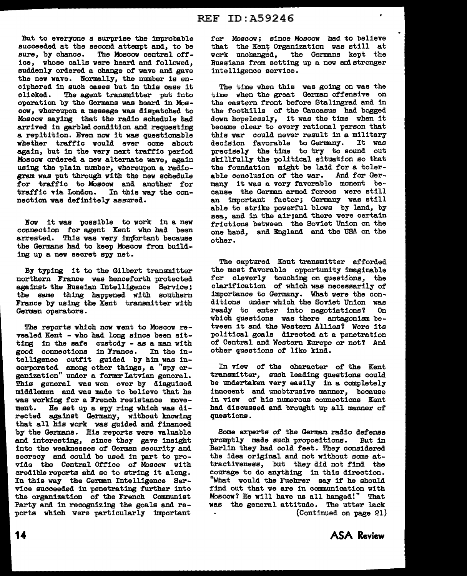'But to everyone s surprise the improbable succeeded at the second attempt and, to be sure, by chance. The Moscow central office, whose calla were heard and followed, suddenly ordered a change of wave and gave the new wave. Normally, the number is enciphered in such cases but in this case it<br>clicked. The agent transmitter put into The agent transmitter put into operation by the Germana was heard in Moscow, whereupon a message was dispatched to Moscow saying that the radio schedule had arrived in garbled condition and requesting a repitition. Even now it was questionable whether traffic would ever come about again, but in the very next traffic period Moscow ordered a new alternate wave, again using the plain number, whereupon a radiogram was put through with the new schedule for traffic to Moscow and another for traffic via London. In this way the connection was definitely assured.

Now it was possible to work in a new connection for agent Kent who had been arrested. This was very important because the Germana had to keep Moscow from building up a new secret spy net.

By typing it to the Gilbert transmitter northern France was henceforth protected against the Russian Intelligence Service; the same thing happened with southern France by using the Kent transmitter with German operators.

The reports which now went to Moscow revealed Kent - who had long since been sitting in the safe custody - as a man with good connections in France. In the intelligence outfit guided by him was incorporated among other things, a "spy organization" under a formar Latvian general. Thia general was won over by disguised middlemen and was made to believe that he was working for a French resistance movement. He set up a spy ring which was directed against Germany, without knowing that all his work was guided and financed by the Germana. His reports were valuable and interesting, since they gave insight into the weaknesses of German security and secrecy and could be used in part to provide the Central Office of Moscow with credible reports ahd so to string it along. In this way the German Intelligence Service succeeded in penetrating further into the organization of the French Communist Party and in recognizing the goals and reports which were particularly important

for Moscow; since Moscow had to believe that the Kent Organization was still at work unchanged, the Germans kept the Russians from setting up a new and stronger intelligence service.

The time when this was going on was the time when the great German offensive on the eastern front before Stalingrad and in the foothills of the Caucasus had bogged down hopelessly, it was the time when it became clear to every rational person that this war could never result in a military<br>decision favorable to Germany. It was decision favorable to Germany. precisely the time to try to sound out skillfully the political situation so that the foundation might be laid for a tolerable conclusion of the war. And for Germany it was a very favorable moment because the German armed forces were still an important factor; Germany was still able to strike powerful blows by land, by sea, and in the air; and there were certain frictions between the Soviet Union on the one hand, and England and the USA on the other.

The captured Kent transmitter afforded the most favorable opportunity imaginable for cleverly touching on questions, the clarification of which was necessarily of importance to Germany. What were the conditions under which the Soviet Union was<br>ready to enter into negotiations? On ready to enter into negotiations? which questions was there antagonism between it and the Western Allies? Were its political goals directed at a penetration of Central and Western Europe or not? And other questions of like kind.

In view of the character of the Kent transmitter, such leading questions could be undertaken very easily in a completely innocent and unobtrusive manner, because in view of his numerous connections Kent had discussed and brought up all manner of questions.

Some experts of the German radio defense promptly made such propositions. But in Berlin they had cold feet. They considered the idea original and not without some attractiveness, but they did not find the courage to do anything in this direction. "What would the Fuehrer say if he should find out that we are in communication with Moscow? He will have us all hanged!" That was the general attitude. The utter lack (Continued on page 21)